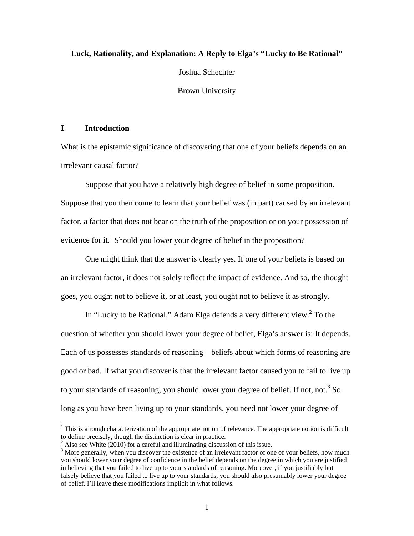### **Luck, Rationality, and Explanation: A Reply to Elga's "Lucky to Be Rational"**

Joshua Schechter

Brown University

# **I Introduction**

 $\overline{a}$ 

What is the epistemic significance of discovering that one of your beliefs depends on an irrelevant causal factor?

Suppose that you have a relatively high degree of belief in some proposition. Suppose that you then come to learn that your belief was (in part) caused by an irrelevant factor, a factor that does not bear on the truth of the proposition or on your possession of evidence for it.<sup>1</sup> Should you lower your degree of belief in the proposition?

One might think that the answer is clearly yes. If one of your beliefs is based on an irrelevant factor, it does not solely reflect the impact of evidence. And so, the thought goes, you ought not to believe it, or at least, you ought not to believe it as strongly.

In "Lucky to be Rational," Adam Elga defends a very different view. $2$  To the question of whether you should lower your degree of belief, Elga's answer is: It depends. Each of us possesses standards of reasoning – beliefs about which forms of reasoning are good or bad. If what you discover is that the irrelevant factor caused you to fail to live up to your standards of reasoning, you should lower your degree of belief. If not, not.<sup>3</sup> So long as you have been living up to your standards, you need not lower your degree of

 $1$ <sup>1</sup> This is a rough characterization of the appropriate notion of relevance. The appropriate notion is difficult to define precisely, though the distinction is clear in practice.

<sup>&</sup>lt;sup>2</sup> Also see White (2010) for a careful and illuminating discussion of this issue.

<sup>&</sup>lt;sup>3</sup> More generally, when you discover the existence of an irrelevant factor of one of your beliefs, how much you should lower your degree of confidence in the belief depends on the degree in which you are justified in believing that you failed to live up to your standards of reasoning. Moreover, if you justifiably but falsely believe that you failed to live up to your standards, you should also presumably lower your degree of belief. I'll leave these modifications implicit in what follows.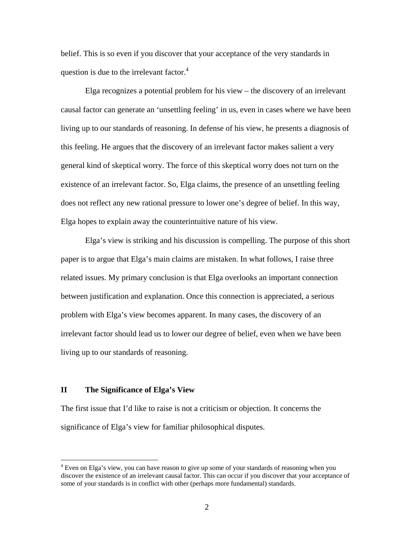belief. This is so even if you discover that your acceptance of the very standards in question is due to the irrelevant factor.<sup>4</sup>

Elga recognizes a potential problem for his view – the discovery of an irrelevant causal factor can generate an 'unsettling feeling' in us, even in cases where we have been living up to our standards of reasoning. In defense of his view, he presents a diagnosis of this feeling. He argues that the discovery of an irrelevant factor makes salient a very general kind of skeptical worry. The force of this skeptical worry does not turn on the existence of an irrelevant factor. So, Elga claims, the presence of an unsettling feeling does not reflect any new rational pressure to lower one's degree of belief. In this way, Elga hopes to explain away the counterintuitive nature of his view.

Elga's view is striking and his discussion is compelling. The purpose of this short paper is to argue that Elga's main claims are mistaken. In what follows, I raise three related issues. My primary conclusion is that Elga overlooks an important connection between justification and explanation. Once this connection is appreciated, a serious problem with Elga's view becomes apparent. In many cases, the discovery of an irrelevant factor should lead us to lower our degree of belief, even when we have been living up to our standards of reasoning.

### **II The Significance of Elga's View**

 $\overline{a}$ 

The first issue that I'd like to raise is not a criticism or objection. It concerns the significance of Elga's view for familiar philosophical disputes.

<sup>&</sup>lt;sup>4</sup> Even on Elga's view, you can have reason to give up some of your standards of reasoning when you discover the existence of an irrelevant causal factor. This can occur if you discover that your acceptance of some of your standards is in conflict with other (perhaps more fundamental) standards.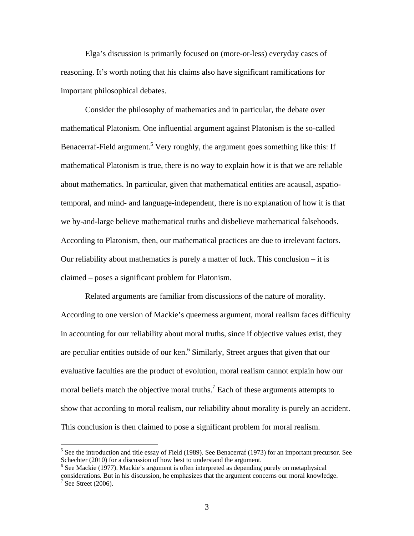Elga's discussion is primarily focused on (more-or-less) everyday cases of reasoning. It's worth noting that his claims also have significant ramifications for important philosophical debates.

Consider the philosophy of mathematics and in particular, the debate over mathematical Platonism. One influential argument against Platonism is the so-called Benacerraf-Field argument.<sup>5</sup> Very roughly, the argument goes something like this: If mathematical Platonism is true, there is no way to explain how it is that we are reliable about mathematics. In particular, given that mathematical entities are acausal, aspatiotemporal, and mind- and language-independent, there is no explanation of how it is that we by-and-large believe mathematical truths and disbelieve mathematical falsehoods. According to Platonism, then, our mathematical practices are due to irrelevant factors. Our reliability about mathematics is purely a matter of luck. This conclusion – it is claimed – poses a significant problem for Platonism.

Related arguments are familiar from discussions of the nature of morality. According to one version of Mackie's queerness argument, moral realism faces difficulty in accounting for our reliability about moral truths, since if objective values exist, they are peculiar entities outside of our ken.<sup>6</sup> Similarly, Street argues that given that our evaluative faculties are the product of evolution, moral realism cannot explain how our moral beliefs match the objective moral truths.<sup>7</sup> Each of these arguments attempts to show that according to moral realism, our reliability about morality is purely an accident. This conclusion is then claimed to pose a significant problem for moral realism.

<sup>&</sup>lt;sup>5</sup> See the introduction and title essay of Field (1989). See Benacerraf (1973) for an important precursor. See Schechter (2010) for a discussion of how best to understand the argument.

<sup>&</sup>lt;sup>6</sup> See Mackie (1977). Mackie's argument is often interpreted as depending purely on metaphysical considerations. But in his discussion, he emphasizes that the argument concerns our moral knowledge.  $7$  See Street (2006).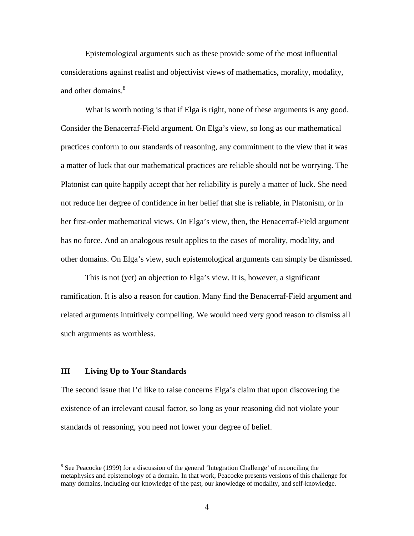Epistemological arguments such as these provide some of the most influential considerations against realist and objectivist views of mathematics, morality, modality, and other domains.<sup>8</sup>

What is worth noting is that if Elga is right, none of these arguments is any good. Consider the Benacerraf-Field argument. On Elga's view, so long as our mathematical practices conform to our standards of reasoning, any commitment to the view that it was a matter of luck that our mathematical practices are reliable should not be worrying. The Platonist can quite happily accept that her reliability is purely a matter of luck. She need not reduce her degree of confidence in her belief that she is reliable, in Platonism, or in her first-order mathematical views. On Elga's view, then, the Benacerraf-Field argument has no force. And an analogous result applies to the cases of morality, modality, and other domains. On Elga's view, such epistemological arguments can simply be dismissed.

This is not (yet) an objection to Elga's view. It is, however, a significant ramification. It is also a reason for caution. Many find the Benacerraf-Field argument and related arguments intuitively compelling. We would need very good reason to dismiss all such arguments as worthless.

### **III Living Up to Your Standards**

 $\overline{a}$ 

The second issue that I'd like to raise concerns Elga's claim that upon discovering the existence of an irrelevant causal factor, so long as your reasoning did not violate your standards of reasoning, you need not lower your degree of belief.

<sup>&</sup>lt;sup>8</sup> See Peacocke (1999) for a discussion of the general 'Integration Challenge' of reconciling the metaphysics and epistemology of a domain. In that work, Peacocke presents versions of this challenge for many domains, including our knowledge of the past, our knowledge of modality, and self-knowledge.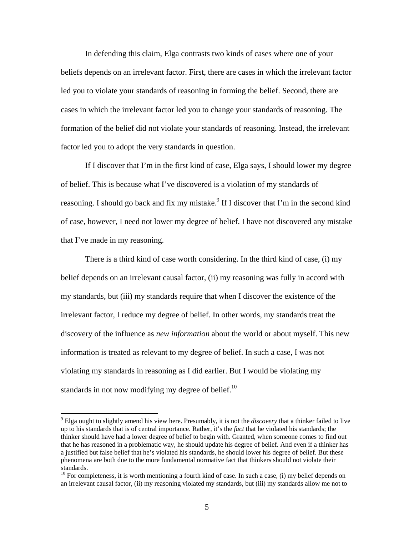In defending this claim, Elga contrasts two kinds of cases where one of your beliefs depends on an irrelevant factor. First, there are cases in which the irrelevant factor led you to violate your standards of reasoning in forming the belief. Second, there are cases in which the irrelevant factor led you to change your standards of reasoning. The formation of the belief did not violate your standards of reasoning. Instead, the irrelevant factor led you to adopt the very standards in question.

If I discover that I'm in the first kind of case, Elga says, I should lower my degree of belief. This is because what I've discovered is a violation of my standards of reasoning. I should go back and fix my mistake.<sup>9</sup> If I discover that I'm in the second kind of case, however, I need not lower my degree of belief. I have not discovered any mistake that I've made in my reasoning.

There is a third kind of case worth considering. In the third kind of case, (i) my belief depends on an irrelevant causal factor, (ii) my reasoning was fully in accord with my standards, but (iii) my standards require that when I discover the existence of the irrelevant factor, I reduce my degree of belief. In other words, my standards treat the discovery of the influence as *new information* about the world or about myself. This new information is treated as relevant to my degree of belief. In such a case, I was not violating my standards in reasoning as I did earlier. But I would be violating my standards in not now modifying my degree of belief.<sup>10</sup>

 9 Elga ought to slightly amend his view here. Presumably, it is not the *discovery* that a thinker failed to live up to his standards that is of central importance. Rather, it's the *fact* that he violated his standards; the thinker should have had a lower degree of belief to begin with. Granted, when someone comes to find out that he has reasoned in a problematic way, he should update his degree of belief. And even if a thinker has a justified but false belief that he's violated his standards, he should lower his degree of belief. But these phenomena are both due to the more fundamental normative fact that thinkers should not violate their standards.

<sup>&</sup>lt;sup>10</sup> For completeness, it is worth mentioning a fourth kind of case. In such a case, (i) my belief depends on an irrelevant causal factor, (ii) my reasoning violated my standards, but (iii) my standards allow me not to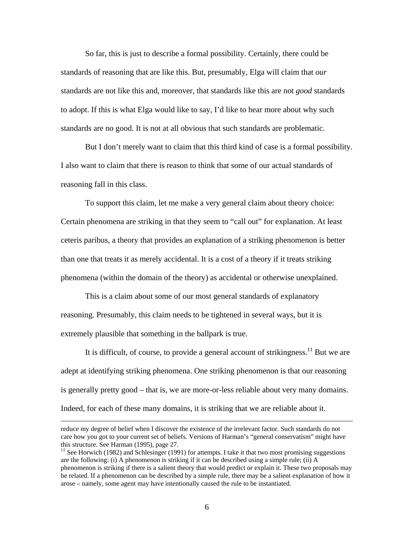So far, this is just to describe a formal possibility. Certainly, there could be standards of reasoning that are like this. But, presumably, Elga will claim that *our* standards are not like this and, moreover, that standards like this are not *good* standards to adopt. If this is what Elga would like to say, I'd like to hear more about why such standards are no good. It is not at all obvious that such standards are problematic.

But I don't merely want to claim that this third kind of case is a formal possibility. I also want to claim that there is reason to think that some of our actual standards of reasoning fall in this class.

To support this claim, let me make a very general claim about theory choice: Certain phenomena are striking in that they seem to "call out" for explanation. At least ceteris paribus, a theory that provides an explanation of a striking phenomenon is better than one that treats it as merely accidental. It is a cost of a theory if it treats striking phenomena (within the domain of the theory) as accidental or otherwise unexplained.

This is a claim about some of our most general standards of explanatory reasoning. Presumably, this claim needs to be tightened in several ways, but it is extremely plausible that something in the ballpark is true.

It is difficult, of course, to provide a general account of strikingness.<sup>11</sup> But we are adept at identifying striking phenomena. One striking phenomenon is that our reasoning is generally pretty good – that is, we are more-or-less reliable about very many domains. Indeed, for each of these many domains, it is striking that we are reliable about it.

reduce my degree of belief when I discover the existence of the irrelevant factor. Such standards do not care how you got to your current set of beliefs. Versions of Harman's "general conservatism" might have this structure. See Harman (1995), page 27.

 $11$  See Horwich (1982) and Schlesinger (1991) for attempts. I take it that two most promising suggestions are the following: (i) A phenomenon is striking if it can be described using a simple rule; (ii) A phenomenon is striking if there is a salient theory that would predict or explain it. These two proposals may be related. If a phenomenon can be described by a simple rule, there may be a salient explanation of how it arose – namely, some agent may have intentionally caused the rule to be instantiated.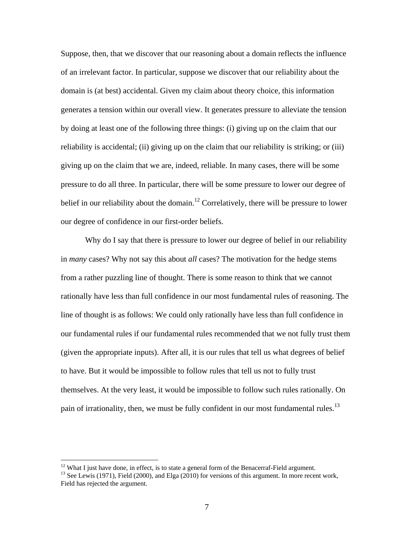Suppose, then, that we discover that our reasoning about a domain reflects the influence of an irrelevant factor. In particular, suppose we discover that our reliability about the domain is (at best) accidental. Given my claim about theory choice, this information generates a tension within our overall view. It generates pressure to alleviate the tension by doing at least one of the following three things: (i) giving up on the claim that our reliability is accidental; (ii) giving up on the claim that our reliability is striking; or (iii) giving up on the claim that we are, indeed, reliable. In many cases, there will be some pressure to do all three. In particular, there will be some pressure to lower our degree of belief in our reliability about the domain.<sup>12</sup> Correlatively, there will be pressure to lower our degree of confidence in our first-order beliefs.

Why do I say that there is pressure to lower our degree of belief in our reliability in *many* cases? Why not say this about *all* cases? The motivation for the hedge stems from a rather puzzling line of thought. There is some reason to think that we cannot rationally have less than full confidence in our most fundamental rules of reasoning. The line of thought is as follows: We could only rationally have less than full confidence in our fundamental rules if our fundamental rules recommended that we not fully trust them (given the appropriate inputs). After all, it is our rules that tell us what degrees of belief to have. But it would be impossible to follow rules that tell us not to fully trust themselves. At the very least, it would be impossible to follow such rules rationally. On pain of irrationality, then, we must be fully confident in our most fundamental rules.<sup>13</sup>

1

 $12$  What I just have done, in effect, is to state a general form of the Benacerraf-Field argument.

<sup>&</sup>lt;sup>13</sup> See Lewis (1971), Field (2000), and Elga (2010) for versions of this argument. In more recent work, Field has rejected the argument.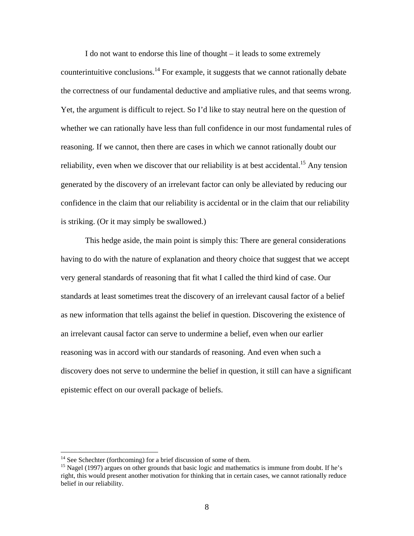I do not want to endorse this line of thought – it leads to some extremely counterintuitive conclusions.<sup>14</sup> For example, it suggests that we cannot rationally debate the correctness of our fundamental deductive and ampliative rules, and that seems wrong. Yet, the argument is difficult to reject. So I'd like to stay neutral here on the question of whether we can rationally have less than full confidence in our most fundamental rules of reasoning. If we cannot, then there are cases in which we cannot rationally doubt our reliability, even when we discover that our reliability is at best accidental.<sup>15</sup> Any tension generated by the discovery of an irrelevant factor can only be alleviated by reducing our confidence in the claim that our reliability is accidental or in the claim that our reliability is striking. (Or it may simply be swallowed.)

This hedge aside, the main point is simply this: There are general considerations having to do with the nature of explanation and theory choice that suggest that we accept very general standards of reasoning that fit what I called the third kind of case. Our standards at least sometimes treat the discovery of an irrelevant causal factor of a belief as new information that tells against the belief in question. Discovering the existence of an irrelevant causal factor can serve to undermine a belief, even when our earlier reasoning was in accord with our standards of reasoning. And even when such a discovery does not serve to undermine the belief in question, it still can have a significant epistemic effect on our overall package of beliefs.

<u>.</u>

 $14$  See Schechter (forthcoming) for a brief discussion of some of them.

<sup>&</sup>lt;sup>15</sup> Nagel (1997) argues on other grounds that basic logic and mathematics is immune from doubt. If he's right, this would present another motivation for thinking that in certain cases, we cannot rationally reduce belief in our reliability.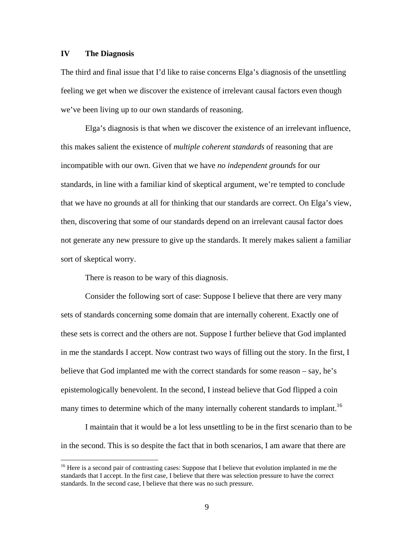## **IV The Diagnosis**

 $\overline{a}$ 

The third and final issue that I'd like to raise concerns Elga's diagnosis of the unsettling feeling we get when we discover the existence of irrelevant causal factors even though we've been living up to our own standards of reasoning.

Elga's diagnosis is that when we discover the existence of an irrelevant influence, this makes salient the existence of *multiple coherent standards* of reasoning that are incompatible with our own. Given that we have *no independent grounds* for our standards, in line with a familiar kind of skeptical argument, we're tempted to conclude that we have no grounds at all for thinking that our standards are correct. On Elga's view, then, discovering that some of our standards depend on an irrelevant causal factor does not generate any new pressure to give up the standards. It merely makes salient a familiar sort of skeptical worry.

There is reason to be wary of this diagnosis.

Consider the following sort of case: Suppose I believe that there are very many sets of standards concerning some domain that are internally coherent. Exactly one of these sets is correct and the others are not. Suppose I further believe that God implanted in me the standards I accept. Now contrast two ways of filling out the story. In the first, I believe that God implanted me with the correct standards for some reason – say, he's epistemologically benevolent. In the second, I instead believe that God flipped a coin many times to determine which of the many internally coherent standards to implant.<sup>16</sup>

I maintain that it would be a lot less unsettling to be in the first scenario than to be in the second. This is so despite the fact that in both scenarios, I am aware that there are

<sup>&</sup>lt;sup>16</sup> Here is a second pair of contrasting cases: Suppose that I believe that evolution implanted in me the standards that I accept. In the first case, I believe that there was selection pressure to have the correct standards. In the second case, I believe that there was no such pressure.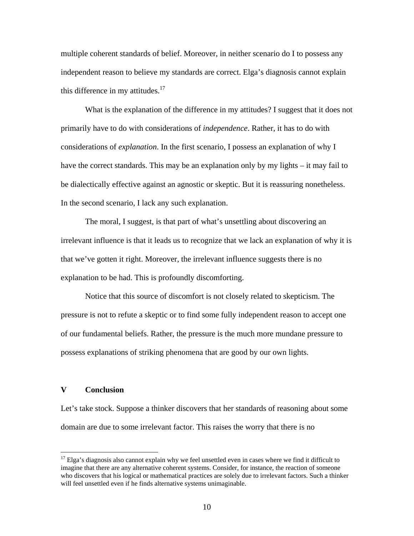multiple coherent standards of belief. Moreover, in neither scenario do I to possess any independent reason to believe my standards are correct. Elga's diagnosis cannot explain this difference in my attitudes. $17$ 

What is the explanation of the difference in my attitudes? I suggest that it does not primarily have to do with considerations of *independence*. Rather, it has to do with considerations of *explanation*. In the first scenario, I possess an explanation of why I have the correct standards. This may be an explanation only by my lights – it may fail to be dialectically effective against an agnostic or skeptic. But it is reassuring nonetheless. In the second scenario, I lack any such explanation.

The moral, I suggest, is that part of what's unsettling about discovering an irrelevant influence is that it leads us to recognize that we lack an explanation of why it is that we've gotten it right. Moreover, the irrelevant influence suggests there is no explanation to be had. This is profoundly discomforting.

Notice that this source of discomfort is not closely related to skepticism. The pressure is not to refute a skeptic or to find some fully independent reason to accept one of our fundamental beliefs. Rather, the pressure is the much more mundane pressure to possess explanations of striking phenomena that are good by our own lights.

### **V Conclusion**

 $\overline{a}$ 

Let's take stock. Suppose a thinker discovers that her standards of reasoning about some domain are due to some irrelevant factor. This raises the worry that there is no

 $17$  Elga's diagnosis also cannot explain why we feel unsettled even in cases where we find it difficult to imagine that there are any alternative coherent systems. Consider, for instance, the reaction of someone who discovers that his logical or mathematical practices are solely due to irrelevant factors. Such a thinker will feel unsettled even if he finds alternative systems unimaginable.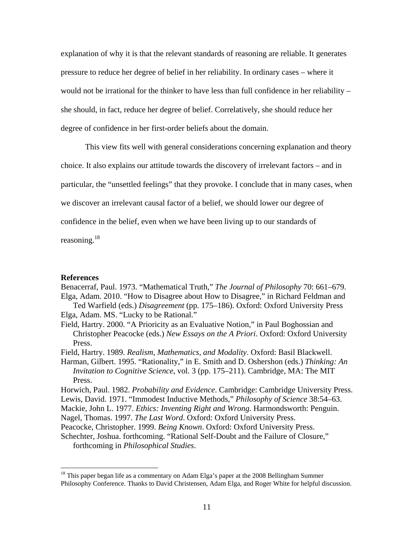explanation of why it is that the relevant standards of reasoning are reliable. It generates pressure to reduce her degree of belief in her reliability. In ordinary cases – where it would not be irrational for the thinker to have less than full confidence in her reliability – she should, in fact, reduce her degree of belief. Correlatively, she should reduce her degree of confidence in her first-order beliefs about the domain.

This view fits well with general considerations concerning explanation and theory choice. It also explains our attitude towards the discovery of irrelevant factors – and in particular, the "unsettled feelings" that they provoke. I conclude that in many cases, when we discover an irrelevant causal factor of a belief, we should lower our degree of confidence in the belief, even when we have been living up to our standards of reasoning.<sup>18</sup>

#### **References**

 $\overline{a}$ 

Benacerraf, Paul. 1973. "Mathematical Truth," *The Journal of Philosophy* 70: 661–679. Elga, Adam. 2010. "How to Disagree about How to Disagree," in Richard Feldman and

Ted Warfield (eds.) *Disagreement* (pp. 175–186). Oxford: Oxford University Press Elga, Adam. MS. "Lucky to be Rational."

Field, Hartry. 2000. "A Prioricity as an Evaluative Notion," in Paul Boghossian and Christopher Peacocke (eds.) *New Essays on the A Priori*. Oxford: Oxford University Press.

Field, Hartry. 1989. *Realism, Mathematics, and Modality*. Oxford: Basil Blackwell.

Harman, Gilbert. 1995. "Rationality," in E. Smith and D. Oshershon (eds.) *Thinking: An Invitation to Cognitive Science*, vol. 3 (pp. 175–211). Cambridge, MA: The MIT Press.

Horwich, Paul. 1982. *Probability and Evidence*. Cambridge: Cambridge University Press.

- Lewis, David. 1971. "Immodest Inductive Methods," *Philosophy of Science* 38:54–63.
- Mackie, John L. 1977. *Ethics: Inventing Right and Wrong*. Harmondsworth: Penguin.

Nagel, Thomas. 1997. *The Last Word*. Oxford: Oxford University Press.

Peacocke, Christopher. 1999. *Being Known*. Oxford: Oxford University Press.

Schechter, Joshua. forthcoming. "Rational Self-Doubt and the Failure of Closure," forthcoming in *Philosophical Studies*.

 $18$ <sup>18</sup> This paper began life as a commentary on Adam Elga's paper at the 2008 Bellingham Summer Philosophy Conference. Thanks to David Christensen, Adam Elga, and Roger White for helpful discussion.